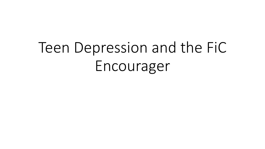# Teen Depression and the FiC Encourager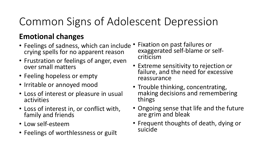# Common Signs of Adolescent Depression

#### **Emotional changes**

- Feelings of sadness, which can include crying spells for no apparent reason
- Frustration or feelings of anger, even over small matters
- Feeling hopeless or empty
- Irritable or annoyed mood
- Loss of interest or pleasure in usual activities
- Loss of interest in, or conflict with, family and friends
- Low self-esteem
- Feelings of worthlessness or guilt
- Fixation on past failures or exaggerated self-blame or selfcriticism
- Extreme sensitivity to rejection or failure, and the need for excessive reassurance
- Trouble thinking, concentrating, making decisions and remembering things
- Ongoing sense that life and the future are grim and bleak
- Frequent thoughts of death, dying or suicide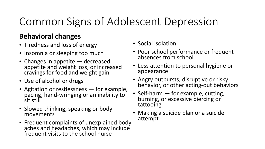# Common Signs of Adolescent Depression

#### **Behavioral changes**

- Tiredness and loss of energy
- Insomnia or sleeping too much
- Changes in appetite  $-$  decreased appetite and weight loss, or increased cravings for food and weight gain
- Use of alcohol or drugs
- Agitation or restlessness  $-$  for example, pacing, hand-wringing or an inability to sit still
- Slowed thinking, speaking or body movements
- Frequent complaints of unexplained body aches and headaches, which may include frequent visits to the school nurse
- Social isolation
- Poor school performance or frequent absences from school
- Less attention to personal hygiene or appearance
- Angry outbursts, disruptive or risky behavior, or other acting-out behaviors
- Self-harm  $-$  for example, cutting, burning, or excessive piercing or tattooing
- Making a suicide plan or a suicide attempt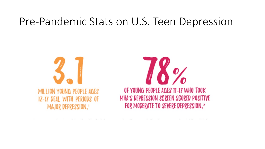### Pre-Pandemic Stats on U.S. Teen Depression

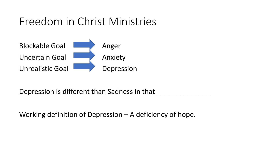### Freedom in Christ Ministries



Depression is different than Sadness in that

Working definition of Depression  $-$  A deficiency of hope.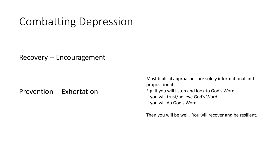### Combatting Depression

Recovery -- Encouragement

Prevention -- Exhortation

Most biblical approaches are solely informational and propositional. E.g. If you will listen and look to God's Word If you will trust/believe God's Word If you will do God's Word

Then you will be well. You will recover and be resilient.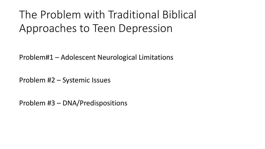# The Problem with Traditional Biblical Approaches to Teen Depression

Problem#1 – Adolescent Neurological Limitations

Problem #2 – Systemic Issues

Problem #3 – DNA/Predispositions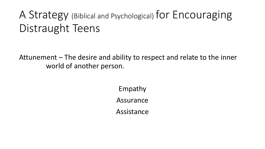# A Strategy (Biblical and Psychological) for Encouraging Distraught Teens

Attunement – The desire and ability to respect and relate to the inner world of another person.

> Empathy Assurance Assistance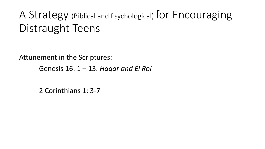# A Strategy (Biblical and Psychological) for Encouraging Distraught Teens

Attunement in the Scriptures:

Genesis 16: 1 – 13. *Hagar and El Roi* 

2 Corinthians 1: 3-7